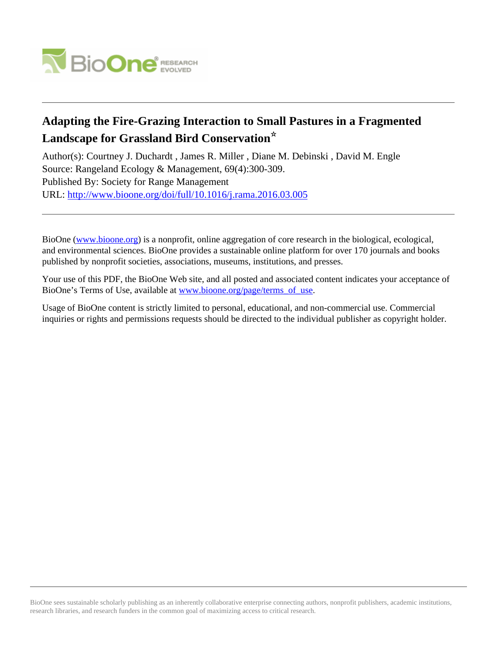

# **Adapting the Fire-Grazing Interaction to Small Pastures in a Fragmented Landscape for Grassland Bird Conservation**☆

Author(s): Courtney J. Duchardt , James R. Miller , Diane M. Debinski , David M. Engle Source: Rangeland Ecology & Management, 69(4):300-309. Published By: Society for Range Management URL: <http://www.bioone.org/doi/full/10.1016/j.rama.2016.03.005>

BioOne [\(www.bioone.org\)](http://www.bioone.org) is a nonprofit, online aggregation of core research in the biological, ecological, and environmental sciences. BioOne provides a sustainable online platform for over 170 journals and books published by nonprofit societies, associations, museums, institutions, and presses.

Your use of this PDF, the BioOne Web site, and all posted and associated content indicates your acceptance of BioOne's Terms of Use, available at [www.bioone.org/page/terms\\_of\\_use.](http://www.bioone.org/page/terms_of_use)

Usage of BioOne content is strictly limited to personal, educational, and non-commercial use. Commercial inquiries or rights and permissions requests should be directed to the individual publisher as copyright holder.

BioOne sees sustainable scholarly publishing as an inherently collaborative enterprise connecting authors, nonprofit publishers, academic institutions, research libraries, and research funders in the common goal of maximizing access to critical research.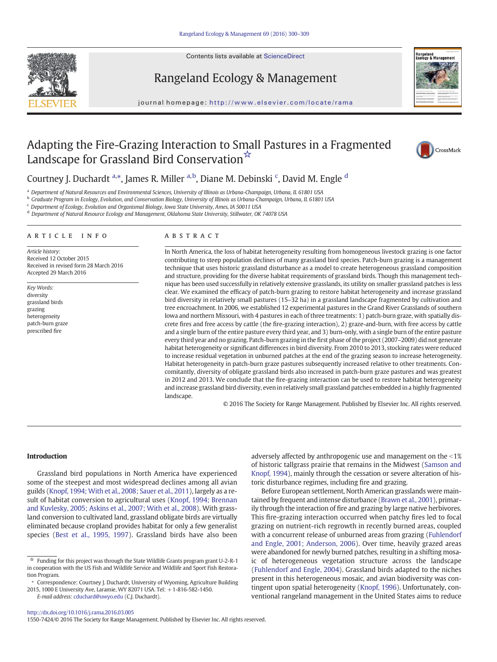Contents lists available at ScienceDirect







journal homepage: http://www.elsevier.com/locate/rama

# Adapting the Fire-Grazing Interaction to Small Pastures in a Fragmented Landscape for Grassland Bird Conservation☆



# Courtney J. Duchardt <sup>a,\*</sup>, James R. Miller <sup>a,b</sup>, Diane M. Debinski <sup>c</sup>, David M. Engle <sup>d</sup>

<sup>a</sup> Department of Natural Resources and Environmental Sciences, University of Illinois as Urbana-Champaign, Urbana, IL 61801 USA

<sup>b</sup> Graduate Program in Ecology, Evolution, and Conservation Biology, University of Illinois as Urbana-Champaign, Urbana, IL 61801 USA

<sup>c</sup> Department of Ecology, Evolution and Organismal Biology, Iowa State University, Ames, IA 50011 USA

<sup>d</sup> Department of Natural Resource Ecology and Management, Oklahoma State University, Stillwater, OK 74078 USA

## article info abstract

Article history: Received 12 October 2015 Received in revised form 28 March 2016 Accepted 29 March 2016

Key Words: diversity grassland birds grazing heterogeneity patch-burn graze prescribed fire

In North America, the loss of habitat heterogeneity resulting from homogeneous livestock grazing is one factor contributing to steep population declines of many grassland bird species. Patch-burn grazing is a management technique that uses historic grassland disturbance as a model to create heterogeneous grassland composition and structure, providing for the diverse habitat requirements of grassland birds. Though this management technique has been used successfully in relatively extensive grasslands, its utility on smaller grassland patches is less clear. We examined the efficacy of patch-burn grazing to restore habitat heterogeneity and increase grassland bird diversity in relatively small pastures (15–32 ha) in a grassland landscape fragmented by cultivation and tree encroachment. In 2006, we established 12 experimental pastures in the Grand River Grasslands of southern Iowa and northern Missouri, with 4 pastures in each of three treatments: 1) patch-burn graze, with spatially discrete fires and free access by cattle (the fire-grazing interaction), 2) graze-and-burn, with free access by cattle and a single burn of the entire pasture every third year, and 3) burn-only, with a single burn of the entire pasture every third year and no grazing. Patch-burn grazing in the first phase of the project (2007–2009) did not generate habitat heterogeneity or significant differences in bird diversity. From 2010 to 2013, stocking rates were reduced to increase residual vegetation in unburned patches at the end of the grazing season to increase heterogeneity. Habitat heterogeneity in patch-burn graze pastures subsequently increased relative to other treatments. Concomitantly, diversity of obligate grassland birds also increased in patch-burn graze pastures and was greatest in 2012 and 2013. We conclude that the fire-grazing interaction can be used to restore habitat heterogeneity and increase grassland bird diversity, even in relatively small grassland patches embedded in a highly fragmented landscape.

© 2016 The Society for Range Management. Published by Elsevier Inc. All rights reserved.

# Introduction

Grassland bird populations in North America have experienced some of the steepest and most widespread declines among all avian guilds ([Knopf, 1994; With et al., 2008; Sauer et al., 2011](#page-10-0)), largely as a result of habitat conversion to agricultural uses ([Knopf, 1994; Brennan](#page-10-0) [and Kuvlesky, 2005; Askins et al., 2007; With et al., 2008\)](#page-10-0). With grassland conversion to cultivated land, grassland obligate birds are virtually eliminated because cropland provides habitat for only a few generalist species [\(Best et al., 1995, 1997\)](#page-9-0). Grassland birds have also been

E-mail address: [cduchard@uwyo.edu](mailto:cduchard@uwyo.edu) (C.J. Duchardt).

adversely affected by anthropogenic use and management on the  $<$ 1% of historic tallgrass prairie that remains in the Midwest [\(Samson and](#page-10-0) [Knopf, 1994\)](#page-10-0), mainly through the cessation or severe alteration of historic disturbance regimes, including fire and grazing.

Before European settlement, North American grasslands were maintained by frequent and intense disturbance [\(Brawn et al., 2001](#page-9-0)), primarily through the interaction of fire and grazing by large native herbivores. This fire-grazing interaction occurred when patchy fires led to focal grazing on nutrient-rich regrowth in recently burned areas, coupled with a concurrent release of unburned areas from grazing [\(Fuhlendorf](#page-9-0) [and Engle, 2001; Anderson, 2006\)](#page-9-0). Over time, heavily grazed areas were abandoned for newly burned patches, resulting in a shifting mosaic of heterogeneous vegetation structure across the landscape ([Fuhlendorf and Engle, 2004](#page-9-0)). Grassland birds adapted to the niches present in this heterogeneous mosaic, and avian biodiversity was contingent upon spatial heterogeneity [\(Knopf, 1996\)](#page-10-0). Unfortunately, conventional rangeland management in the United States aims to reduce

 $\star$  Funding for this project was through the State Wildlife Grants program grant U-2-R-1 in cooperation with the US Fish and Wildlife Service and Wildlife and Sport Fish Restoration Program.

<sup>⁎</sup> Correspondence: Courtney J. Duchardt, University of Wyoming, Agriculture Building 2015, 1000 E University Ave, Laramie, WY 82071 USA. Tel: +1-816-582-1450.

<sup>1550-7424/© 2016</sup> The Society for Range Management. Published by Elsevier Inc. All rights reserved.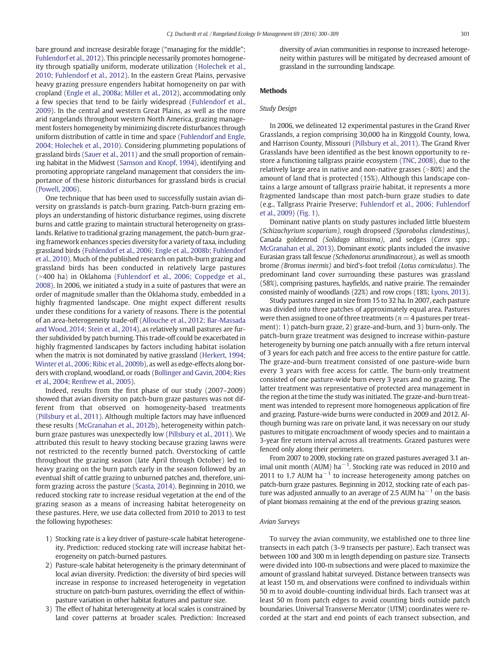bare ground and increase desirable forage ("managing for the middle"; [Fuhlendorf et al., 2012\)](#page-9-0). This principle necessarily promotes homogeneity through spatially uniform, moderate utilization ([Holechek et al.,](#page-9-0) [2010; Fuhlendorf et al., 2012](#page-9-0)). In the eastern Great Plains, pervasive heavy grazing pressure engenders habitat homogeneity on par with cropland ([Engle et al., 2008a; Miller et al., 2012](#page-9-0)), accommodating only a few species that tend to be fairly widespread [\(Fuhlendorf et al.,](#page-9-0) [2009\)](#page-9-0). In the central and western Great Plains, as well as the more arid rangelands throughout western North America, grazing management fosters homogeneity by minimizing discrete disturbances through uniform distribution of cattle in time and space ([Fuhlendorf and Engle,](#page-9-0) [2004; Holechek et al., 2010](#page-9-0)). Considering plummeting populations of grassland birds [\(Sauer et al., 2011](#page-10-0)) and the small proportion of remaining habitat in the Midwest [\(Samson and Knopf, 1994\)](#page-10-0), identifying and promoting appropriate rangeland management that considers the importance of these historic disturbances for grassland birds is crucial [\(Powell, 2006\)](#page-10-0).

One technique that has been used to successfully sustain avian diversity on grasslands is patch-burn grazing. Patch-burn grazing employs an understanding of historic disturbance regimes, using discrete burns and cattle grazing to maintain structural heterogeneity on grasslands. Relative to traditional grazing management, the patch-burn grazing framework enhances species diversity for a variety of taxa, including grassland birds [\(Fuhlendorf et al., 2006; Engle et al., 2008b; Fuhlendorf](#page-9-0) [et al., 2010](#page-9-0)). Much of the published research on patch-burn grazing and grassland birds has been conducted in relatively large pastures (>400 ha) in Oklahoma ([Fuhlendorf et al., 2006; Coppedge et al.,](#page-9-0) [2008](#page-9-0)). In 2006, we initiated a study in a suite of pastures that were an order of magnitude smaller than the Oklahoma study, embedded in a highly fragmented landscape. One might expect different results under these conditions for a variety of reasons. There is the potential of an area-heterogeneity trade-off [\(Allouche et al., 2012; Bar-Massada](#page-9-0) [and Wood, 2014; Stein et al., 2014](#page-9-0)), as relatively small pastures are further subdivided by patch burning. This trade-off could be exacerbated in highly fragmented landscapes by factors including habitat isolation when the matrix is not dominated by native grassland ([Herkert, 1994;](#page-9-0) [Winter et al., 2006; Ribic et al., 2009b\)](#page-9-0), as well as edge-effects along borders with cropland, woodland, or roads ([Bollinger and Gavin, 2004; Ries](#page-9-0) [et al., 2004; Renfrew et al., 2005](#page-9-0)).

Indeed, results from the first phase of our study (2007–2009) showed that avian diversity on patch-burn graze pastures was not different from that observed on homogeneity-based treatments [\(Pillsbury et al., 2011](#page-10-0)). Although multiple factors may have influenced these results [\(McGranahan et al., 2012b](#page-10-0)), heterogeneity within patchburn graze pastures was unexpectedly low [\(Pillsbury et al., 2011\)](#page-10-0). We attributed this result to heavy stocking because grazing lawns were not restricted to the recently burned patch. Overstocking of cattle throughout the grazing season (late April through October) led to heavy grazing on the burn patch early in the season followed by an eventual shift of cattle grazing to unburned patches and, therefore, uniform grazing across the pasture ([Scasta, 2014\)](#page-10-0). Beginning in 2010, we reduced stocking rate to increase residual vegetation at the end of the grazing season as a means of increasing habitat heterogeneity on these pastures. Here, we use data collected from 2010 to 2013 to test the following hypotheses:

- 1) Stocking rate is a key driver of pasture-scale habitat heterogeneity. Prediction: reduced stocking rate will increase habitat heterogeneity on patch-burned pastures.
- 2) Pasture-scale habitat heterogeneity is the primary determinant of local avian diversity. Prediction: the diversity of bird species will increase in response to increased heterogeneity in vegetation structure on patch-burn pastures, overriding the effect of withinpasture variation in other habitat features and pasture size.
- 3) The effect of habitat heterogeneity at local scales is constrained by land cover patterns at broader scales. Prediction: Increased

diversity of avian communities in response to increased heterogeneity within pastures will be mitigated by decreased amount of grassland in the surrounding landscape.

# **Methods**

# Study Design

In 2006, we delineated 12 experimental pastures in the Grand River Grasslands, a region comprising 30,000 ha in Ringgold County, Iowa, and Harrison County, Missouri ([Pillsbury et al., 2011](#page-10-0)). The Grand River Grasslands have been identified as the best known opportunity to restore a functioning tallgrass prairie ecosystem ([TNC, 2008](#page-10-0)), due to the relatively large area in native and non-native grasses ( $>80\%$ ) and the amount of land that is protected (15%). Although this landscape contains a large amount of tallgrass prairie habitat, it represents a more fragmented landscape than most patch-burn graze studies to date (e.g., Tallgrass Prairie Preserve; [Fuhlendorf et al., 2006; Fuhlendorf](#page-9-0) [et al., 2009](#page-9-0)) [\(Fig. 1\)](#page-3-0).

Dominant native plants on study pastures included little bluestem (Schizachyrium scoparium), rough dropseed (Sporobolus clandestinus), Canada goldenrod (Solidago altissima), and sedges (Carex spp.; [McGranahan et al., 2013\)](#page-10-0). Dominant exotic plants included the invasive Eurasian grass tall fescue (Schedonorus arundinaceous), as well as smooth brome (Bromus inermis) and bird's-foot trefoil (Lotus corniculatus). The predominant land cover surrounding these pastures was grassland (58%), comprising pastures, hayfields, and native prairie. The remainder consisted mainly of woodlands (22%) and row crops (18%; [Lyons, 2013](#page-10-0)).

Study pastures ranged in size from 15 to 32 ha. In 2007, each pasture was divided into three patches of approximately equal area. Pastures were then assigned to one of three treatments ( $n = 4$  pastures per treatment): 1) patch-burn graze, 2) graze-and-burn, and 3) burn-only. The patch-burn graze treatment was designed to increase within-pasture heterogeneity by burning one patch annually with a fire return interval of 3 years for each patch and free access to the entire pasture for cattle. The graze-and-burn treatment consisted of one pasture-wide burn every 3 years with free access for cattle. The burn-only treatment consisted of one pasture-wide burn every 3 years and no grazing. The latter treatment was representative of protected area management in the region at the time the study was initiated. The graze-and-burn treatment was intended to represent more homogeneous application of fire and grazing. Pasture-wide burns were conducted in 2009 and 2012. Although burning was rare on private land, it was necessary on our study pastures to mitigate encroachment of woody species and to maintain a 3-year fire return interval across all treatments. Grazed pastures were fenced only along their perimeters.

From 2007 to 2009, stocking rate on grazed pastures averaged 3.1 animal unit month (AUM) ha<sup>-1</sup>. Stocking rate was reduced in 2010 and 2011 to 1.7 AUM  $ha^{-1}$  to increase heterogeneity among patches on patch-burn graze pastures. Beginning in 2012, stocking rate of each pasture was adjusted annually to an average of 2.5 AUM ha<sup> $-1$ </sup> on the basis of plant biomass remaining at the end of the previous grazing season.

#### Avian Surveys

To survey the avian community, we established one to three line transects in each patch (3–9 transects per pasture). Each transect was between 100 and 300 m in length depending on pasture size. Transects were divided into 100-m subsections and were placed to maximize the amount of grassland habitat surveyed. Distance between transects was at least 150 m, and observations were confined to individuals within 50 m to avoid double-counting individual birds. Each transect was at least 50 m from patch edges to avoid counting birds outside patch boundaries. Universal Transverse Mercator (UTM) coordinates were recorded at the start and end points of each transect subsection, and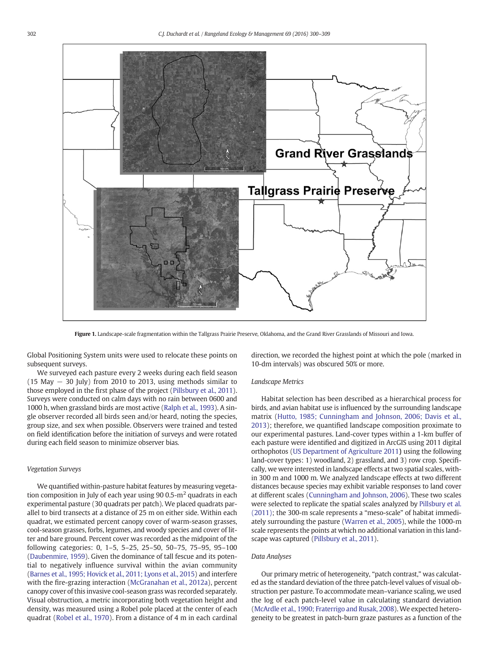<span id="page-3-0"></span>

Figure 1. Landscape-scale fragmentation within the Tallgrass Prairie Preserve, Oklahoma, and the Grand River Grasslands of Missouri and Iowa.

Global Positioning System units were used to relocate these points on subsequent surveys.

We surveyed each pasture every 2 weeks during each field season (15 May  $-$  30 July) from 2010 to 2013, using methods similar to those employed in the first phase of the project ([Pillsbury et al., 2011](#page-10-0)). Surveys were conducted on calm days with no rain between 0600 and 1000 h, when grassland birds are most active [\(Ralph et al., 1993](#page-10-0)). A single observer recorded all birds seen and/or heard, noting the species, group size, and sex when possible. Observers were trained and tested on field identification before the initiation of surveys and were rotated during each field season to minimize observer bias.

# Vegetation Surveys

We quantified within-pasture habitat features by measuring vegetation composition in July of each year using 90 0.5- $m<sup>2</sup>$  quadrats in each experimental pasture (30 quadrats per patch). We placed quadrats parallel to bird transects at a distance of 25 m on either side. Within each quadrat, we estimated percent canopy cover of warm-season grasses, cool-season grasses, forbs, legumes, and woody species and cover of litter and bare ground. Percent cover was recorded as the midpoint of the following categories: 0, 1–5, 5–25, 25–50, 50–75, 75–95, 95–100 ([Daubenmire, 1959\)](#page-9-0). Given the dominance of tall fescue and its potential to negatively influence survival within the avian community ([Barnes et al., 1995; Hovick et al., 2011; Lyons et al., 2015\)](#page-9-0) and interfere with the fire-grazing interaction ([McGranahan et al., 2012a](#page-10-0)), percent canopy cover of this invasive cool-season grass was recorded separately. Visual obstruction, a metric incorporating both vegetation height and density, was measured using a Robel pole placed at the center of each quadrat [\(Robel et al., 1970\)](#page-10-0). From a distance of 4 m in each cardinal direction, we recorded the highest point at which the pole (marked in 10-dm intervals) was obscured 50% or more.

#### Landscape Metrics

Habitat selection has been described as a hierarchical process for birds, and avian habitat use is influenced by the surrounding landscape matrix ([Hutto, 1985; Cunningham and Johnson, 2006; Davis et al.,](#page-9-0) [2013\)](#page-9-0); therefore, we quantified landscape composition proximate to our experimental pastures. Land-cover types within a 1-km buffer of each pasture were identified and digitized in ArcGIS using 2011 digital orthophotos [\(US Department of Agriculture 2011](#page-10-0)) using the following land-cover types: 1) woodland, 2) grassland, and 3) row crop. Specifically, we were interested in landscape effects at two spatial scales, within 300 m and 1000 m. We analyzed landscape effects at two different distances because species may exhibit variable responses to land cover at different scales [\(Cunningham and Johnson, 2006](#page-9-0)). These two scales were selected to replicate the spatial scales analyzed by [Pillsbury et al.](#page-10-0) [\(2011\)](#page-10-0); the 300-m scale represents a "meso-scale" of habitat immediately surrounding the pasture ([Warren et al., 2005](#page-10-0)), while the 1000-m scale represents the points at which no additional variation in this landscape was captured [\(Pillsbury et al., 2011\)](#page-10-0).

# Data Analyses

Our primary metric of heterogeneity, "patch contrast," was calculated as the standard deviation of the three patch-level values of visual obstruction per pasture. To accommodate mean–variance scaling, we used the log of each patch-level value in calculating standard deviation ([McArdle et al., 1990; Fraterrigo and Rusak, 2008\)](#page-10-0). We expected heterogeneity to be greatest in patch-burn graze pastures as a function of the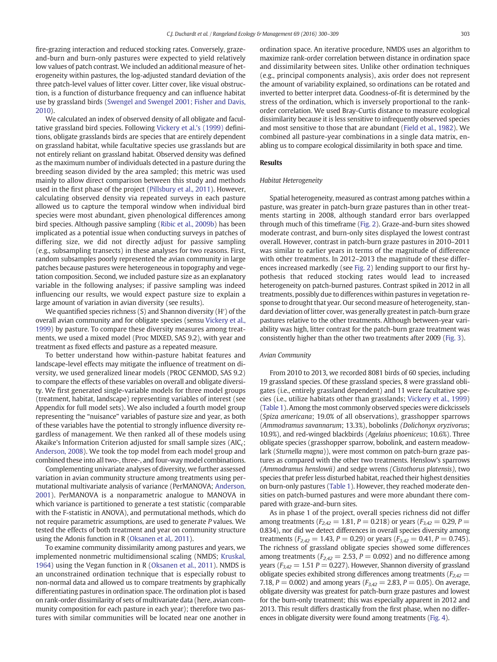fire-grazing interaction and reduced stocking rates. Conversely, grazeand-burn and burn-only pastures were expected to yield relatively low values of patch contrast. We included an additional measure of heterogeneity within pastures, the log-adjusted standard deviation of the three patch-level values of litter cover. Litter cover, like visual obstruction, is a function of disturbance frequency and can influence habitat use by grassland birds [\(Swengel and Swengel 2001; Fisher and Davis,](#page-10-0) [2010](#page-10-0)).

We calculated an index of observed density of all obligate and facultative grassland bird species. Following [Vickery et al.](#page-10-0)'s (1999) definitions, obligate grasslands birds are species that are entirely dependent on grassland habitat, while facultative species use grasslands but are not entirely reliant on grassland habitat. Observed density was defined as the maximum number of individuals detected in a pasture during the breeding season divided by the area sampled; this metric was used mainly to allow direct comparison between this study and methods used in the first phase of the project ([Pillsbury et al., 2011\)](#page-10-0). However, calculating observed density via repeated surveys in each pasture allowed us to capture the temporal window when individual bird species were most abundant, given phenological differences among bird species. Although passive sampling [\(Ribic et al., 2009b\)](#page-10-0) has been implicated as a potential issue when conducting surveys in patches of differing size, we did not directly adjust for passive sampling (e.g., subsampling transects) in these analyses for two reasons. First, random subsamples poorly represented the avian community in large patches because pastures were heterogeneous in topography and vegetation composition. Second, we included pasture size as an explanatory variable in the following analyses; if passive sampling was indeed influencing our results, we would expect pasture size to explain a large amount of variation in avian diversity (see results).

We quantified species richness (S) and Shannon diversity (H′) of the overall avian community and for obligate species (sensu [Vickery et al.,](#page-10-0) [1999\)](#page-10-0) by pasture. To compare these diversity measures among treatments, we used a mixed model (Proc MIXED, SAS 9.2), with year and treatment as fixed effects and pasture as a repeated measure.

To better understand how within-pasture habitat features and landscape-level effects may mitigate the influence of treatment on diversity, we used generalized linear models (PROC GENMOD, SAS 9.2) to compare the effects of these variables on overall and obligate diversity. We first generated single-variable models for three model groups (treatment, habitat, landscape) representing variables of interest (see Appendix for full model sets). We also included a fourth model group representing the "nuisance" variables of pasture size and year, as both of these variables have the potential to strongly influence diversity regardless of management. We then ranked all of these models using Akaike's Information Criterion adjusted for small sample sizes  $(AIC<sub>c</sub>;$ [Anderson, 2008](#page-9-0)). We took the top model from each model group and combined these into all two-, three-, and four-way model combinations.

Complementing univariate analyses of diversity, we further assessed variation in avian community structure among treatments using permutational multivariate analysis of variance (PerMANOVA; [Anderson,](#page-9-0) [2001\)](#page-9-0). PerMANOVA is a nonparametric analogue to MANOVA in which variance is partitioned to generate a test statistic (comparable with the F-statistic in ANOVA), and permutational methods, which do not require parametric assumptions, are used to generate P values. We tested the effects of both treatment and year on community structure using the Adonis function in R [\(Oksanen et al,. 2011](#page-10-0)).

To examine community dissimilarity among pastures and years, we implemented nonmetric multidimensional scaling (NMDS; [Kruskal,](#page-10-0) [1964\)](#page-10-0) using the Vegan function in R ([Oksanen et al., 2011\)](#page-10-0). NMDS is an unconstrained ordination technique that is especially robust to non-normal data and allowed us to compare treatments by graphically differentiating pastures in ordination space. The ordination plot is based on rank-order dissimilarity of sets of multivariate data (here, avian community composition for each pasture in each year); therefore two pastures with similar communities will be located near one another in ordination space. An iterative procedure, NMDS uses an algorithm to maximize rank-order correlation between distance in ordination space and dissimilarity between sites. Unlike other ordination techniques (e.g., principal components analysis), axis order does not represent the amount of variability explained, so ordinations can be rotated and inverted to better interpret data. Goodness-of-fit is determined by the stress of the ordination, which is inversely proportional to the rankorder correlation. We used Bray-Curtis distance to measure ecological dissimilarity because it is less sensitive to infrequently observed species and most sensitive to those that are abundant ([Field et al., 1982\)](#page-9-0). We combined all pasture-year combinations in a single data matrix, enabling us to compare ecological dissimilarity in both space and time.

#### Results

### Habitat Heterogeneity

Spatial heterogeneity, measured as contrast among patches within a pasture, was greater in patch-burn graze pastures than in other treatments starting in 2008, although standard error bars overlapped through much of this timeframe ([Fig. 2](#page-5-0)). Graze-and-burn sites showed moderate contrast, and burn-only sites displayed the lowest contrast overall. However, contrast in patch-burn graze pastures in 2010–2011 was similar to earlier years in terms of the magnitude of difference with other treatments. In 2012–2013 the magnitude of these differences increased markedly (see [Fig. 2\)](#page-5-0) lending support to our first hypothesis that reduced stocking rates would lead to increased heterogeneity on patch-burned pastures. Contrast spiked in 2012 in all treatments, possibly due to differences within pastures in vegetation response to drought that year. Our second measure of heterogeneity, standard deviation of litter cover, was generally greatest in patch-burn graze pastures relative to the other treatments. Although between-year variability was high, litter contrast for the patch-burn graze treatment was consistently higher than the other two treatments after 2009 [\(Fig. 3\)](#page-5-0).

## Avian Community

From 2010 to 2013, we recorded 8081 birds of 60 species, including 19 grassland species. Of these grassland species, 8 were grassland obligates (i.e., entirely grassland dependent) and 11 were facultative species (i.e., utilize habitats other than grasslands; [Vickery et al., 1999](#page-10-0)) [\(Table 1\)](#page-6-0). Among the most commonly observed species were dickcissels (Spiza americana; 19.0% of all observations), grasshopper sparrows (Ammodramus savannarum; 13.3%), bobolinks (Dolichonyx oryzivorus; 10.9%), and red-winged blackbirds (Agelaius phoeniceus; 10.6%). Three obligate species (grasshopper sparrow, bobolink, and eastern meadowlark (Sturnella magna)), were most common on patch-burn graze pastures as compared with the other two treatments. Henslow's sparrows (Ammodramus henslowii) and sedge wrens (Cistothorus platensis), two species that prefer less disturbed habitat, reached their highest densities on burn-only pastures ([Table 1](#page-6-0)). However, they reached moderate densities on patch-burned pastures and were more abundant there compared with graze-and-burn sites.

As in phase 1 of the project, overall species richness did not differ among treatments ( $F_{2,42} = 1.81$ ,  $P = 0.218$ ) or years ( $F_{3,42} = 0.29$ ,  $P =$ 0.834), nor did we detect differences in overall species diversity among treatments ( $F_{2,42} = 1.43$ ,  $P = 0.29$ ) or years ( $F_{3,42} = 0.41$ ,  $P = 0.745$ ). The richness of grassland obligate species showed some differences among treatments ( $F_{2,42} = 2.53$ ,  $P = 0.092$ ) and no difference among years ( $F_{3,42} = 1.51$  P = 0.227). However, Shannon diversity of grassland obligate species exhibited strong differences among treatments ( $F_{2,42}$  = 7.18,  $P = 0.002$ ) and among years ( $F_{3,42} = 2.83$ ,  $P = 0.05$ ). On average, obligate diversity was greatest for patch-burn graze pastures and lowest for the burn-only treatment; this was especially apparent in 2012 and 2013. This result differs drastically from the first phase, when no differences in obligate diversity were found among treatments [\(Fig. 4](#page-6-0)).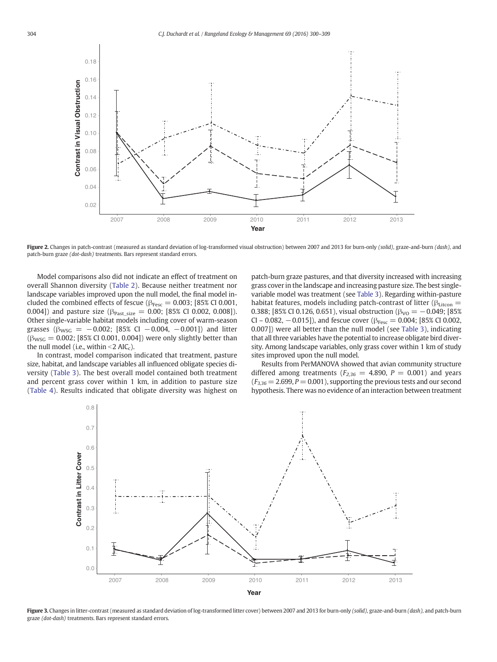<span id="page-5-0"></span>

Figure 2. Changes in patch-contrast (measured as standard deviation of log-transformed visual obstruction) between 2007 and 2013 for burn-only (solid), graze-and-burn (dash), and patch-burn graze (dot-dash) treatments. Bars represent standard errors.

Model comparisons also did not indicate an effect of treatment on overall Shannon diversity [\(Table 2](#page-7-0)). Because neither treatment nor landscape variables improved upon the null model, the final model included the combined effects of fescue ( $\beta_{\text{Fesc}} = 0.003$ ; [85% CI 0.001, 0.004]) and pasture size ( $\beta_{\text{Fast\_size}} = 0.00$ ; [85% CI 0.002, 0.008]). Other single-variable habitat models including cover of warm-season grasses ( $\beta_{\text{WSG}} = -0.002$ ; [85% CI -0.004, -0.001]) and litter  $(\beta_{\text{WSG}} = 0.002; [85\% CI 0.001, 0.004])$  were only slightly better than the null model (i.e., within  $\leq 2$  AIC<sub>c</sub>).

In contrast, model comparison indicated that treatment, pasture size, habitat, and landscape variables all influenced obligate species diversity ([Table 3](#page-7-0)). The best overall model contained both treatment and percent grass cover within 1 km, in addition to pasture size ([Table 4\)](#page-7-0). Results indicated that obligate diversity was highest on

patch-burn graze pastures, and that diversity increased with increasing grass cover in the landscape and increasing pasture size. The best singlevariable model was treatment (see [Table 3\)](#page-7-0). Regarding within-pasture habitat features, models including patch-contrast of litter ( $\beta_{\text{Litcon}} =$ 0.388; [85% CI 0.126, 0.651), visual obstruction ( $\beta_{\text{VO}} = -0.049$ ; [85% CI – 0.082, –0.015]), and fescue cover ( $\beta_{\text{Fesc}} = 0.004$ ; [85% CI 0.002, 0.007]) were all better than the null model (see [Table 3\)](#page-7-0), indicating that all three variables have the potential to increase obligate bird diversity. Among landscape variables, only grass cover within 1 km of study sites improved upon the null model.

Results from PerMANOVA showed that avian community structure differed among treatments ( $F_{2,36} = 4.890$ ,  $P = 0.001$ ) and years  $(F_{3,36} = 2.699, P = 0.001)$ , supporting the previous tests and our second hypothesis. There was no evidence of an interaction between treatment



Figure 3. Changes in litter-contrast (measured as standard deviation of log-transformed litter cover) between 2007 and 2013 for burn-only (solid), graze-and-burn (dash), and patch-burn graze (dot-dash) treatments. Bars represent standard errors.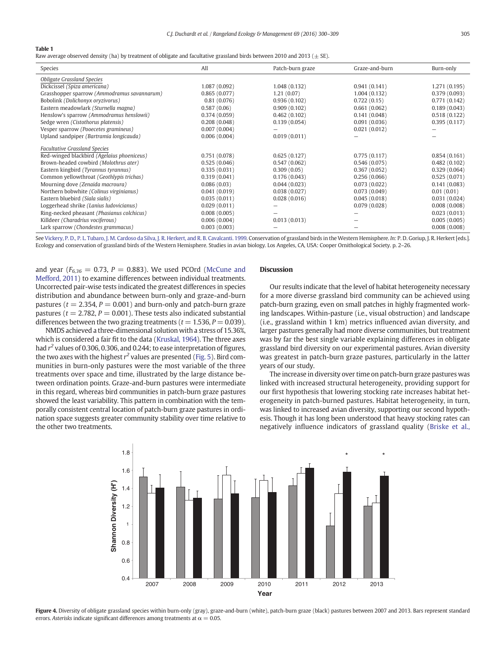#### <span id="page-6-0"></span>Table 1

Raw average observed density (ha) by treatment of obligate and facultative grassland birds between 2010 and 2013 ( $\pm$  SE).

| Species                                     | All          | Patch-burn graze | Graze-and-burn | Burn-only     |
|---------------------------------------------|--------------|------------------|----------------|---------------|
| <b>Obligate Grassland Species</b>           |              |                  |                |               |
| Dickcissel (Spiza americana)                | 1.087(0.092) | 1.048(0.132)     | 0.941(0.141)   | 1.271 (0.195) |
| Grasshopper sparrow (Ammodramus savannarum) | 0.865(0.077) | 1.21(0.07)       | 1.004(0.132)   | 0.379(0.093)  |
| Bobolink (Dolichonyx oryzivorus)            | 0.81(0.076)  | 0.936(0.102)     | 0.722(0.15)    | 0.771(0.142)  |
| Eastern meadowlark (Sturnella magna)        | 0.587(0.06)  | 0.909(0.102)     | 0.661(0.062)   | 0.189(0.043)  |
| Henslow's sparrow (Ammodramus henslowii)    | 0.374(0.059) | 0.462(0.102)     | 0.141(0.048)   | 0.518(0.122)  |
| Sedge wren (Cistothorus platensis)          | 0.208(0.048) | 0.139(0.054)     | 0.091(0.036)   | 0.395(0.117)  |
| Vesper sparrow (Pooecetes gramineus)        | 0.007(0.004) |                  | 0.021(0.012)   |               |
| Upland sandpiper (Bartramia longicauda)     | 0.006(0.004) | 0.019(0.011)     |                |               |
| <b>Facultative Grassland Species</b>        |              |                  |                |               |
| Red-winged blackbird (Agelaius phoeniceus)  | 0.751(0.078) | 0.625(0.127)     | 0.775(0.117)   | 0.854(0.161)  |
| Brown-headed cowbird (Molothrus ater)       | 0.525(0.046) | 0.547(0.062)     | 0.546(0.075)   | 0.482(0.102)  |
| Eastern kingbird (Tyrannus tyrannus)        | 0.335(0.031) | 0.309(0.05)      | 0.367(0.052)   | 0.329(0.064)  |
| Common yellowthroat (Geothlypis trichas)    | 0.319(0.041) | 0.176(0.043)     | 0.256(0.066)   | 0.525(0.071)  |
| Mourning dove (Zenaida macroura)            | 0.086(0.03)  | 0.044(0.023)     | 0.073(0.022)   | 0.141(0.083)  |
| Northern bobwhite (Colinus virginianus)     | 0.041(0.019) | 0.038(0.027)     | 0.073(0.049)   | 0.01(0.01)    |
| Eastern bluebird (Siala sialis)             | 0.035(0.011) | 0.028(0.016)     | 0.045(0.018)   | 0.031(0.024)  |
| Loggerhead shrike (Lanius ludovicianus)     | 0.029(0.011) |                  | 0.079(0.028)   | 0.008(0.008)  |
| Ring-necked pheasant (Phasianus colchicus)  | 0.008(0.005) |                  |                | 0.023(0.013)  |
| Killdeer (Charadrius vociferous)            | 0.006(0.004) | 0.013(0.013)     |                | 0.005(0.005)  |
| Lark sparrow (Chondestes grammacus)         | 0.003(0.003) |                  |                | 0.008(0.008)  |

See [Vickery, P. D., P. L. Tubaro, J. M. Cardoso da Silva, J. R. Herkert, and R. B. Cavalcanti. 1999.](#page-10-0) Conservation of grassland birds in the Western Hemisphere. In: P. D. Goriup, J. R. Herkert [eds.]. Ecology and conservation of grassland birds of the Western Hemisphere. Studies in avian biology. Los Angeles, CA, USA: Cooper Ornithological Society. p. 2–26.

and year ( $F_{6,36} = 0.73$ ,  $P = 0.883$ ). We used PCOrd ([McCune and](#page-10-0) [Mefford, 2011\)](#page-10-0) to examine differences between individual treatments. Uncorrected pair-wise tests indicated the greatest differences in species distribution and abundance between burn-only and graze-and-burn pastures ( $t = 2.354$ ,  $P = 0.001$ ) and burn-only and patch-burn graze pastures ( $t = 2.782$ ,  $P = 0.001$ ). These tests also indicated substantial differences between the two grazing treatments ( $t = 1.536$ ,  $P = 0.039$ ).

NMDS achieved a three-dimensional solution with a stress of 15.36%, which is considered a fair fit to the data [\(Kruskal, 1964](#page-10-0)). The three axes had  $r^2$  values of 0.306, 0.306, and 0.244; to ease interpretation of figures, the two axes with the highest  $r^2$  values are presented ([Fig. 5](#page-8-0)). Bird communities in burn-only pastures were the most variable of the three treatments over space and time, illustrated by the large distance between ordination points. Graze-and-burn pastures were intermediate in this regard, whereas bird communities in patch-burn graze pastures showed the least variability. This pattern in combination with the temporally consistent central location of patch-burn graze pastures in ordination space suggests greater community stability over time relative to the other two treatments.

# **Discussion**

Our results indicate that the level of habitat heterogeneity necessary for a more diverse grassland bird community can be achieved using patch-burn grazing, even on small patches in highly fragmented working landscapes. Within-pasture (i.e., visual obstruction) and landscape (i.e., grassland within 1 km) metrics influenced avian diversity, and larger pastures generally had more diverse communities, but treatment was by far the best single variable explaining differences in obligate grassland bird diversity on our experimental pastures. Avian diversity was greatest in patch-burn graze pastures, particularly in the latter years of our study.

The increase in diversity over time on patch-burn graze pastures was linked with increased structural heterogeneity, providing support for our first hypothesis that lowering stocking rate increases habitat heterogeneity in patch-burned pastures. Habitat heterogeneity, in turn, was linked to increased avian diversity, supporting our second hypothesis. Though it has long been understood that heavy stocking rates can negatively influence indicators of grassland quality ([Briske et al.,](#page-9-0)



Figure 4. Diversity of obligate grassland species within burn-only (gray), graze-and-burn (white), patch-burn graze (black) pastures between 2007 and 2013. Bars represent standard errors. Asterisks indicate significant differences among treatments at  $\alpha = 0.05$ .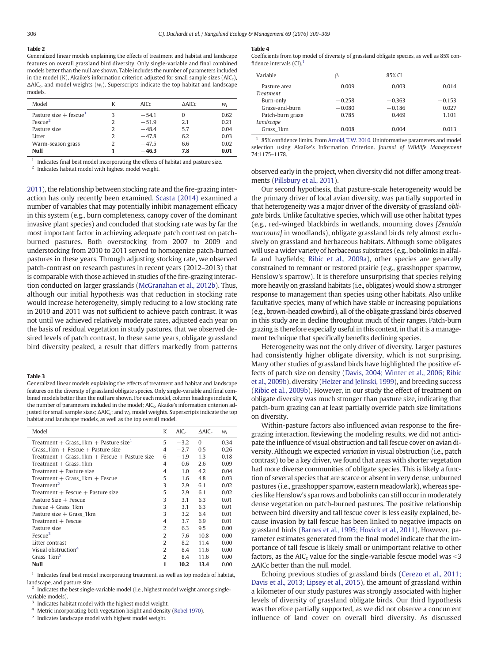#### <span id="page-7-0"></span>Table 2

Generalized linear models explaining the effects of treatment and habitat and landscape features on overall grassland bird diversity. Only single-variable and final combined models better than the null are shown. Table includes the number of parameters included in the model (K), Akaike's information criterion adjusted for small sample sizes (AIC $<sub>c</sub>$ ),</sub>  $\Delta AIC_c$ , and model weights ( $w_i$ ). Superscripts indicate the top habitat and landscape models.

| Model<br>AICc<br>∆AICc<br>$W_i$<br>Pasture size $+$ fescue <sup>1</sup><br>$-54.1$<br>0.62<br>Fescue <sup>2</sup><br>0.21<br>$-51.9$<br>2.1<br>Pasture size<br>0.04<br>5.7<br>$-48.4$<br>0.03<br>6.2<br>$-47.8$<br>Litter<br>6.6<br>0.02<br>$-47.5$<br>Warm-season grass<br>Null<br>0.01<br>$-46.3$<br>7.8 |  |  |  |
|------------------------------------------------------------------------------------------------------------------------------------------------------------------------------------------------------------------------------------------------------------------------------------------------------------|--|--|--|
|                                                                                                                                                                                                                                                                                                            |  |  |  |
|                                                                                                                                                                                                                                                                                                            |  |  |  |
|                                                                                                                                                                                                                                                                                                            |  |  |  |
|                                                                                                                                                                                                                                                                                                            |  |  |  |
|                                                                                                                                                                                                                                                                                                            |  |  |  |
|                                                                                                                                                                                                                                                                                                            |  |  |  |
|                                                                                                                                                                                                                                                                                                            |  |  |  |

<sup>1</sup> Indicates final best model incorporating the effects of habitat and pasture size.

<sup>2</sup> Indicates habitat model with highest model weight.

[2011](#page-9-0)), the relationship between stocking rate and the fire-grazing interaction has only recently been examined. [Scasta \(2014\)](#page-10-0) examined a number of variables that may potentially inhibit management efficacy in this system (e.g., burn completeness, canopy cover of the dominant invasive plant species) and concluded that stocking rate was by far the most important factor in achieving adequate patch contrast on patchburned pastures. Both overstocking from 2007 to 2009 and understocking from 2010 to 2011 served to homogenize patch-burned pastures in these years. Through adjusting stocking rate, we observed patch-contrast on research pastures in recent years (2012–2013) that is comparable with those achieved in studies of the fire-grazing interaction conducted on larger grasslands ([McGranahan et al., 2012b](#page-10-0)). Thus, although our initial hypothesis was that reduction in stocking rate would increase heterogeneity, simply reducing to a low stocking rate in 2010 and 2011 was not sufficient to achieve patch contrast. It was not until we achieved relatively moderate rates, adjusted each year on the basis of residual vegetation in study pastures, that we observed desired levels of patch contrast. In these same years, obligate grassland bird diversity peaked, a result that differs markedly from patterns

#### Table 3

Generalized linear models explaining the effects of treatment and habitat and landscape features on the diversity of grassland obligate species. Only single-variable and final combined models better than the null are shown. For each model, column headings include K, the number of parameters included in the model; AIC<sub>c</sub>, Akaike's information criterion adjusted for small sample sizes;  $\Delta AIC_c$ ; and  $w_i$ , model weights. Superscripts indicate the top habitat and landscape models, as well as the top overall model.

| Model                                                 | K              | AIC <sub>c</sub> | $\triangle$ AIC <sub>c</sub> | $W_i$ |
|-------------------------------------------------------|----------------|------------------|------------------------------|-------|
| Treatment $+$ Grass_1km $+$ Pasture size <sup>1</sup> | 5              | $-3.2$           | $\Omega$                     | 0.34  |
| Grass $1km +$ Fescue $+$ Pasture size                 | 4              | $-2.7$           | 0.5                          | 0.26  |
| Treatment $+$ Grass 1km $+$ Fescue $+$ Pasture size   | 6              | $-1.9$           | 1.3                          | 0.18  |
| $Treatment + Grass 1km$                               | 4              | $-0.6$           | 2.6                          | 0.09  |
| Treatment + Pasture size                              | 4              | 1.0              | 4.2                          | 0.04  |
| Treatment + Grass_1km + Fescue                        | 5              | 1.6              | 4.8                          | 0.03  |
| Treatment <sup>2</sup>                                | 3              | 2.9              | 6.1                          | 0.02  |
| $Treatment + Fescue + Pasture size$                   | 5              | 2.9              | 6.1                          | 0.02  |
| Pasture Size $+$ Fescue                               | 3              | 3.1              | 6.3                          | 0.01  |
| $Fescue + Grass 1km$                                  | 3              | 3.1              | 6.3                          | 0.01  |
| Pasture size $+$ Grass 1 km                           | 3              | 3.2              | 6.4                          | 0.01  |
| Treatment + Fescue                                    | 4              | 3.7              | 6.9                          | 0.01  |
| Pasture size                                          | 2              | 6.3              | 9.5                          | 0.00  |
| Fescue <sup>3</sup>                                   | $\overline{2}$ | 7.6              | 10.8                         | 0.00  |
| Litter contrast                                       | $\overline{2}$ | 8.2              | 11.4                         | 0.00  |
| Visual obstruction <sup>4</sup>                       | $\overline{2}$ | 8.4              | 11.6                         | 0.00  |
| Grass_1km <sup>5</sup>                                | $\overline{2}$ | 8.4              | 11.6                         | 0.00  |
| Null                                                  |                | 10.2             | 13.4                         | 0.00  |

 $^{\rm 1}$  Indicates final best model incorporating treatment, as well as top models of habitat, landscape, and pasture size.

## Table 4

Coefficients from top model of diversity of grassland obligate species, as well as 85% confidence intervals  $(Cl).<sup>1</sup>$ 

| Variable         | ß        | 85% CI   |          |
|------------------|----------|----------|----------|
| Pasture area     | 0.009    | 0.003    | 0.014    |
| <b>Treatment</b> |          |          |          |
| Burn-only        | $-0.258$ | $-0.363$ | $-0.153$ |
| Graze-and-burn   | $-0.080$ | $-0.186$ | 0.027    |
| Patch-burn graze | 0.785    | 0.469    | 1.101    |
| Landscape        |          |          |          |
| Grass 1km        | 0.008    | 0.004    | 0.013    |

<sup>1</sup> 85% confidence limits. From [Arnold, T.W. 2010.](#page-9-0) Uninformative parameters and model selection using Akaike's Information Criterion. Journal of Wildlife Management 74:1175–1178.

observed early in the project, when diversity did not differ among treatments [\(Pillsbury et al., 2011\)](#page-10-0).

Our second hypothesis, that pasture-scale heterogeneity would be the primary driver of local avian diversity, was partially supported in that heterogeneity was a major driver of the diversity of grassland obligate birds. Unlike facultative species, which will use other habitat types (e.g., red-winged blackbirds in wetlands, mourning doves [Zenaida macroura] in woodlands), obligate grassland birds rely almost exclusively on grassland and herbaceous habitats. Although some obligates will use a wider variety of herbaceous substrates (e.g., bobolinks in alfalfa and hayfields; [Ribic et al., 2009a](#page-10-0)), other species are generally constrained to remnant or restored prairie (e.g., grasshopper sparrow, Henslow's sparrow). It is therefore unsurprising that species relying more heavily on grassland habitats (i.e., obligates) would show a stronger response to management than species using other habitats. Also unlike facultative species, many of which have stable or increasing populations (e.g., brown-headed cowbird), all of the obligate grassland birds observed in this study are in decline throughout much of their ranges. Patch-burn grazing is therefore especially useful in this context, in that it is a management technique that specifically benefits declining species.

Heterogeneity was not the only driver of diversity. Larger pastures had consistently higher obligate diversity, which is not surprising. Many other studies of grassland birds have highlighted the positive effects of patch size on density [\(Davis, 2004; Winter et al., 2006; Ribic](#page-9-0) [et al., 2009b](#page-9-0)), diversity ([Helzer and Jelinski, 1999\)](#page-9-0), and breeding success ([Ribic et al., 2009b\)](#page-10-0). However, in our study the effect of treatment on obligate diversity was much stronger than pasture size, indicating that patch-burn grazing can at least partially override patch size limitations on diversity.

Within-pasture factors also influenced avian response to the firegrazing interaction. Reviewing the modeling results, we did not anticipate the influence of visual obstruction and tall fescue cover on avian diversity. Although we expected variation in visual obstruction (i.e., patch contrast) to be a key driver, we found that areas with shorter vegetation had more diverse communities of obligate species. This is likely a function of several species that are scarce or absent in very dense, unburned pastures (i.e., grasshopper sparrow, eastern meadowlark), whereas species like Henslow's sparrows and bobolinks can still occur in moderately dense vegetation on patch-burned pastures. The positive relationship between bird diversity and tall fescue cover is less easily explained, because invasion by tall fescue has been linked to negative impacts on grassland birds [\(Barnes et al., 1995; Hovick et al., 2011\)](#page-9-0). However, parameter estimates generated from the final model indicate that the importance of tall fescue is likely small or unimportant relative to other factors, as the AIC<sub>c</sub> value for the single-variable fescue model was <3 ΔAICc better than the null model.

Echoing previous studies of grassland birds ([Cerezo et al., 2011;](#page-9-0) [Davis et al., 2013; Lipsey et al., 2015\)](#page-9-0), the amount of grassland within a kilometer of our study pastures was strongly associated with higher levels of diversity of grassland obligate birds. Our third hypothesis was therefore partially supported, as we did not observe a concurrent influence of land cover on overall bird diversity. As discussed

 $2$  Indicates the best single-variable model (i.e., highest model weight among singlevariable models).

<sup>&</sup>lt;sup>3</sup> Indicates habitat model with the highest model weight.

<sup>&</sup>lt;sup>4</sup> Metric incorporating both vegetation height and density [\(Robel 1970](#page-10-0)).<br> $\frac{5}{7}$  Indicates landscape model with highest model weight.

<sup>5</sup> Indicates landscape model with highest model weight.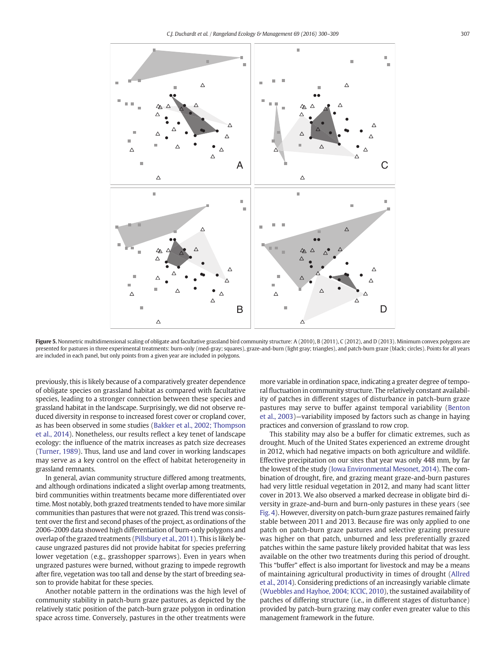<span id="page-8-0"></span>

Figure 5. Nonmetric multidimensional scaling of obligate and facultative grassland bird community structure: A (2010), B (2011), C (2012), and D (2013). Minimum convex polygons are presented for pastures in three experimental treatments: burn-only (med-gray; squares), graze-and-burn (light gray; triangles), and patch-burn graze (black; circles). Points for all years are included in each panel, but only points from a given year are included in polygons.

previously, this is likely because of a comparatively greater dependence of obligate species on grassland habitat as compared with facultative species, leading to a stronger connection between these species and grassland habitat in the landscape. Surprisingly, we did not observe reduced diversity in response to increased forest cover or cropland cover, as has been observed in some studies ([Bakker et al., 2002; Thompson](#page-9-0) [et al., 2014](#page-9-0)). Nonetheless, our results reflect a key tenet of landscape ecology: the influence of the matrix increases as patch size decreases [\(Turner, 1989](#page-10-0)). Thus, land use and land cover in working landscapes may serve as a key control on the effect of habitat heterogeneity in grassland remnants.

In general, avian community structure differed among treatments, and although ordinations indicated a slight overlap among treatments, bird communities within treatments became more differentiated over time. Most notably, both grazed treatments tended to have more similar communities than pastures that were not grazed. This trend was consistent over the first and second phases of the project, as ordinations of the 2006–2009 data showed high differentiation of burn-only polygons and overlap of the grazed treatments [\(Pillsbury et al., 2011](#page-10-0)). This is likely because ungrazed pastures did not provide habitat for species preferring lower vegetation (e.g., grasshopper sparrows). Even in years when ungrazed pastures were burned, without grazing to impede regrowth after fire, vegetation was too tall and dense by the start of breeding season to provide habitat for these species.

Another notable pattern in the ordinations was the high level of community stability in patch-burn graze pastures, as depicted by the relatively static position of the patch-burn graze polygon in ordination space across time. Conversely, pastures in the other treatments were more variable in ordination space, indicating a greater degree of temporal fluctuation in community structure. The relatively constant availability of patches in different stages of disturbance in patch-burn graze pastures may serve to buffer against temporal variability [\(Benton](#page-9-0) [et al., 2003](#page-9-0))—variability imposed by factors such as change in haying practices and conversion of grassland to row crop.

This stability may also be a buffer for climatic extremes, such as drought. Much of the United States experienced an extreme drought in 2012, which had negative impacts on both agriculture and wildlife. Effective precipitation on our sites that year was only 448 mm, by far the lowest of the study [\(Iowa Environmental Mesonet, 2014](#page-9-0)). The combination of drought, fire, and grazing meant graze-and-burn pastures had very little residual vegetation in 2012, and many had scant litter cover in 2013. We also observed a marked decrease in obligate bird diversity in graze-and-burn and burn-only pastures in these years (see [Fig. 4\)](#page-6-0). However, diversity on patch-burn graze pastures remained fairly stable between 2011 and 2013. Because fire was only applied to one patch on patch-burn graze pastures and selective grazing pressure was higher on that patch, unburned and less preferentially grazed patches within the same pasture likely provided habitat that was less available on the other two treatments during this period of drought. This "buffer" effect is also important for livestock and may be a means of maintaining agricultural productivity in times of drought [\(Allred](#page-9-0) [et al., 2014\)](#page-9-0). Considering predictions of an increasingly variable climate [\(Wuebbles and Hayhoe, 2004; ICCIC, 2010\)](#page-10-0), the sustained availability of patches of differing structure (i.e., in different stages of disturbance) provided by patch-burn grazing may confer even greater value to this management framework in the future.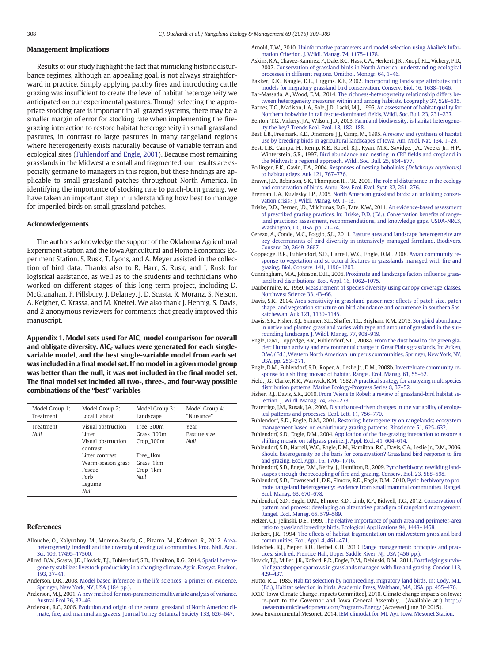# <span id="page-9-0"></span>Management Implications

Results of our study highlight the fact that mimicking historic disturbance regimes, although an appealing goal, is not always straightforward in practice. Simply applying patchy fires and introducing cattle grazing was insufficient to create the level of habitat heterogeneity we anticipated on our experimental pastures. Though selecting the appropriate stocking rate is important in all grazed systems, there may be a smaller margin of error for stocking rate when implementing the firegrazing interaction to restore habitat heterogeneity in small grassland pastures, in contrast to large pastures in many rangeland regions where heterogeneity exists naturally because of variable terrain and ecological sites (Fuhlendorf and Engle, 2001). Because most remaining grasslands in the Midwest are small and fragmented, our results are especially germane to managers in this region, but these findings are applicable to small grassland patches throughout North America. In identifying the importance of stocking rate to patch-burn grazing, we have taken an important step in understanding how best to manage for imperiled birds on small grassland patches.

# Acknowledgements

The authors acknowledge the support of the Oklahoma Agricultural Experiment Station and the Iowa Agricultural and Home Economics Experiment Station. S. Rusk, T. Lyons, and A. Meyer assisted in the collection of bird data. Thanks also to R. Harr, S. Rusk, and J. Rusk for logistical assistance, as well as to the students and technicians who worked on different stages of this long-term project, including D. McGranahan, F. Pillsbury, J. Delaney, J. D. Scasta, R. Moranz, S. Nelson, A. Keigher, C. Krassa, and M. Kneitel. We also thank J. Hennig, S. Davis, and 2 anonymous reviewers for comments that greatly improved this manuscript.

Appendix 1. Model sets used for AIC<sub>c</sub> model comparison for overall and obligate diversity.  $AIC_c$  values were generated for each singlevariable model, and the best single-variable model from each set was included in a final model set. If no model in a given model group was better than the null, it was not included in the final model set. The final model set included all two-, three-, and four-way possible combinations of the "best" variables

| Model Group 1:    | Model Group 2:                                                                                                                             | Model Group 3:                                                                    | Model Group 4:               |
|-------------------|--------------------------------------------------------------------------------------------------------------------------------------------|-----------------------------------------------------------------------------------|------------------------------|
| Treatment         | Local Habitat                                                                                                                              | Landscape                                                                         | "Nuisance"                   |
| Treatment<br>Null | Visual obstruction<br>Litter<br>Visual obstruction<br>contrast<br>Litter contrast<br>Warm-season grass<br>Fescue<br>Forb<br>Legume<br>Null | Tree 300m<br>Grass 300m<br>Crop_300m<br>Tree 1km<br>Grass 1km<br>Crop_1km<br>Null | Year<br>Pasture size<br>Null |

#### References

- Allouche, O., Kalyuzhny, M., Moreno-Rueda, G., Pizarro, M., Kadmon, R., 2012. [Area](http://refhub.elsevier.com/S1550-7424(16)30003-3/rf0005)[heterogeneity tradeoff and the diversity of ecological communities. Proc. Natl. Acad.](http://refhub.elsevier.com/S1550-7424(16)30003-3/rf0005) [Sci. 109, 17495](http://refhub.elsevier.com/S1550-7424(16)30003-3/rf0005)–17500.
- Allred, B.W., Scasta, J.D., Hovick, T.J., Fuhlendorf, S.D., Hamilton, R.G., 2014. [Spatial hetero](http://refhub.elsevier.com/S1550-7424(16)30003-3/rf0010)[geneity stabilizes livestock productivity in a changing climate. Agric. Ecosyst. Environ.](http://refhub.elsevier.com/S1550-7424(16)30003-3/rf0010) [193, 37](http://refhub.elsevier.com/S1550-7424(16)30003-3/rf0010)–41.
- Anderson, D.R., 2008. [Model based inference in the life sciences: a primer on evidence.](http://refhub.elsevier.com/S1550-7424(16)30003-3/rf0015) [Springer, New York, NY, USA \(184 pp.\)](http://refhub.elsevier.com/S1550-7424(16)30003-3/rf0015).
- Anderson, M.J., 2001. [A new method for non-parametric multivariate analysis of variance.](http://refhub.elsevier.com/S1550-7424(16)30003-3/rf0020) [Austral Ecol 26, 32](http://refhub.elsevier.com/S1550-7424(16)30003-3/rf0020)–46.
- Anderson, R.C., 2006. [Evolution and origin of the central grassland of North America: cli](http://refhub.elsevier.com/S1550-7424(16)30003-3/rf0025)mate, fi[re, and mammalian grazers. Journal Torrey Botanical Society 133, 626](http://refhub.elsevier.com/S1550-7424(16)30003-3/rf0025)–647.
- Arnold, T.W., 2010. [Uninformative parameters and model selection using Akaike's Infor](http://refhub.elsevier.com/S1550-7424(16)30003-3/rf0030)[mation Criterion. J. Wildl. Manag. 74, 1175](http://refhub.elsevier.com/S1550-7424(16)30003-3/rf0030)–1178.
- Askins, R.A., Chavez-Ramirez, F., Dale, B.C., Hass, C.A., Herkert, J.R., Knopf, F.L., Vickery, P.D., 2007. [Conservation of grassland birds in North America: understanding ecological](http://refhub.elsevier.com/S1550-7424(16)30003-3/rf0035) [processes in different regions. Ornithol. Monogr. 64, 1](http://refhub.elsevier.com/S1550-7424(16)30003-3/rf0035)–46.
- Bakker, K.K., Naugle, D.E., Higgins, K.F., 2002. [Incorporating landscape attributes into](http://refhub.elsevier.com/S1550-7424(16)30003-3/rf0040) [models for migratory grassland bird conservation. Conserv. Biol. 16, 1638](http://refhub.elsevier.com/S1550-7424(16)30003-3/rf0040)–1646.
- Bar-Massada, A., Wood, E.M., 2014. [The richness-heterogeneity relationship differs be](http://refhub.elsevier.com/S1550-7424(16)30003-3/rf0045)[tween heterogeneity measures within and among habitats. Ecography 37, 528](http://refhub.elsevier.com/S1550-7424(16)30003-3/rf0045)–535. Barnes, T.G., Madison, L.A., Sole, J.D., Lacki, M.J., 1995. [An assessment of habitat quality for](http://refhub.elsevier.com/S1550-7424(16)30003-3/rf0050)
- [Northern bobwhite in tall fescue-dominated](http://refhub.elsevier.com/S1550-7424(16)30003-3/rf0050) fields. Wildl. Soc. Bull. 23, 231–237. Benton, T.G., Vickery, J.A., Wilson, J.D., 2003. [Farmland biodiversity: is habitat heterogene-](http://refhub.elsevier.com/S1550-7424(16)30003-3/rf0055)
- [ity the key? Trends Ecol. Evol. 18, 182](http://refhub.elsevier.com/S1550-7424(16)30003-3/rf0055)–188. Best, L.B., Freemark, K.E., Dinsmore, J.J., Camp, M., 1995. [A review and synthesis of habitat](http://refhub.elsevier.com/S1550-7424(16)30003-3/rf0060) [use by breeding birds in agricultural landscapes of Iowa. Am. Midl. Nat. 134, 1](http://refhub.elsevier.com/S1550-7424(16)30003-3/rf0060)–29.
- Best, L.B., Campa, H., Kemp, K.E., Robel, R.J., Ryan, M.R., Savidge, J.A., Weeks Jr., H.P., Winterstein, S.R., 1997. [Bird abundance and nesting in CRP](http://refhub.elsevier.com/S1550-7424(16)30003-3/rf0065) fields and cropland in [the Midwest: a regional approach. Wildl. Soc. Bull. 25, 864](http://refhub.elsevier.com/S1550-7424(16)30003-3/rf0065)–877.
- Bollinger, E.K., Gavin, T.A., 2004. [Responses of nesting bobolinks](http://refhub.elsevier.com/S1550-7424(16)30003-3/rf0070) (Dolichonyx oryzivorus) [to habitat edges. Auk 121, 767](http://refhub.elsevier.com/S1550-7424(16)30003-3/rf0070)–776.
- Brawn, J.D., Robinson, S.K., Thompson III, F.R., 2001. [The role of disturbance in the ecology](http://refhub.elsevier.com/S1550-7424(16)30003-3/rf0075) [and conservation of birds. Annu. Rev. Ecol. Evol. Syst. 32, 251](http://refhub.elsevier.com/S1550-7424(16)30003-3/rf0075)–276.
- Brennan, L.A., Kuvlesky, I.P., 2005. [North American grassland birds: an unfolding conser](http://refhub.elsevier.com/S1550-7424(16)30003-3/rf0080)[vation crisis? J. Wildl. Manag. 69, 1](http://refhub.elsevier.com/S1550-7424(16)30003-3/rf0080)–13.
- Briske, D.D., Derner, J.D., Milchunas, D.G., Tate, K.W., 2011. [An evidence-based assessment](http://refhub.elsevier.com/S1550-7424(16)30003-3/rf0090) [of prescribed grazing practices. In: Briske, D.D. \(Ed.\), Conservation bene](http://refhub.elsevier.com/S1550-7424(16)30003-3/rf0090)fits of range[land practices: assessment, recommendations, and knowledge gaps. USDA-NRCS,](http://refhub.elsevier.com/S1550-7424(16)30003-3/rf0090) [Washington, DC, USA, pp. 21](http://refhub.elsevier.com/S1550-7424(16)30003-3/rf0090)–74.
- Cerezo, A., Conde, M.C., Poggio, S.L., 2011. [Pasture area and landscape heterogeneity are](http://refhub.elsevier.com/S1550-7424(16)30003-3/rf0095) [key determinants of bird diversity in intensively managed farmland. Biodivers.](http://refhub.elsevier.com/S1550-7424(16)30003-3/rf0095) [Conserv. 20, 2649](http://refhub.elsevier.com/S1550-7424(16)30003-3/rf0095)–2667.
- Coppedge, B.R., Fuhlendorf, S.D., Harrell, W.C., Engle, D.M., 2008. [Avian community re](http://refhub.elsevier.com/S1550-7424(16)30003-3/rf0115)[sponse to vegetation and structural features in grasslands managed with](http://refhub.elsevier.com/S1550-7424(16)30003-3/rf0115) fire and [grazing. Biol. Conserv. 141, 1196](http://refhub.elsevier.com/S1550-7424(16)30003-3/rf0115)–1203.
- Cunningham, M.A., Johnson, D.H., 2006. [Proximate and landscape factors in](http://refhub.elsevier.com/S1550-7424(16)30003-3/rf0120)fluence grass[land bird distributions. Ecol. Appl. 16, 1062](http://refhub.elsevier.com/S1550-7424(16)30003-3/rf0120)–1075.
- Daubenmire, R., 1959. [Measurement of species diversity using canopy coverage classes.](http://refhub.elsevier.com/S1550-7424(16)30003-3/rf0125) [Northwest Science 33, 43](http://refhub.elsevier.com/S1550-7424(16)30003-3/rf0125)–66.
- Davis, S.K., 2004. [Area sensitivity in grassland passerines: effects of patch size, patch](http://refhub.elsevier.com/S1550-7424(16)30003-3/rf0130) [shape, and vegetation structure on bird abundance and occurrence in southern Sas](http://refhub.elsevier.com/S1550-7424(16)30003-3/rf0130)[katchewan. Auk 121, 1130](http://refhub.elsevier.com/S1550-7424(16)30003-3/rf0130)–1145.
- Davis, S.K., Fisher, R.J., Skinner, S.L., Shaffer, T.L., Brigham, R.M., 2013. [Songbird abundance](http://refhub.elsevier.com/S1550-7424(16)30003-3/rf0135) [in native and planted grassland varies with type and amount of grassland in the sur](http://refhub.elsevier.com/S1550-7424(16)30003-3/rf0135)[rounding landscape. J. Wildl. Manag. 77, 908](http://refhub.elsevier.com/S1550-7424(16)30003-3/rf0135)–919.
- Engle, D.M., Coppedge, B.R., Fuhlendorf, S.D., 2008a. [From the dust bowl to the green gla](http://refhub.elsevier.com/S1550-7424(16)30003-3/rf0145)[cier: Human activity and environmental change in Great Plains grasslands. In: Auken,](http://refhub.elsevier.com/S1550-7424(16)30003-3/rf0145) [O.W. \(Ed.\), Western North American juniperus communities. Springer, New York, NY,](http://refhub.elsevier.com/S1550-7424(16)30003-3/rf0145) [USA, pp. 253](http://refhub.elsevier.com/S1550-7424(16)30003-3/rf0145)–271.
- Engle, D.M., Fuhlendorf, S.D., Roper, A., Leslie Jr., D.M., 2008b. [Invertebrate community re](http://refhub.elsevier.com/S1550-7424(16)30003-3/rf0150)[sponse to a shifting mosaic of habitat. Rangel. Ecol. Manag. 61, 55](http://refhub.elsevier.com/S1550-7424(16)30003-3/rf0150)–62.
- Field, J.G., Clarke, K.R., Warwick, R.M., 1982. [A practical strategy for analyzing multispecies](http://refhub.elsevier.com/S1550-7424(16)30003-3/rf0155) [distribution patterns. Marine Ecology-Progress Series 8, 37](http://refhub.elsevier.com/S1550-7424(16)30003-3/rf0155)–52.
- Fisher, R.J., Davis, S.K., 2010. [From Wiens to Robel: a review of grassland-bird habitat se](http://refhub.elsevier.com/S1550-7424(16)30003-3/rf0160)[lection. J. Wildl. Manag. 74, 265](http://refhub.elsevier.com/S1550-7424(16)30003-3/rf0160)–273.
- Fraterrigo, J.M., Rusak, J.A., 2008. [Disturbance-driven changes in the variability of ecolog](http://refhub.elsevier.com/S1550-7424(16)30003-3/rf0165)[ical patterns and processes. Ecol. Lett. 11, 756](http://refhub.elsevier.com/S1550-7424(16)30003-3/rf0165)–770.
- Fuhlendorf, S.D., Engle, D.M., 2001. [Restoring heterogeneity on rangelands: ecosystem](http://refhub.elsevier.com/S1550-7424(16)30003-3/rf0170) [management based on evolutionary grazing patterns. Bioscience 51, 625](http://refhub.elsevier.com/S1550-7424(16)30003-3/rf0170)–632.
- Fuhlendorf, S.D., Engle, D.M., 2004. Application of the fi[re-grazing interaction to restore a](http://refhub.elsevier.com/S1550-7424(16)30003-3/rf0175) [shifting mosaic on tallgrass prairie. J. Appl. Ecol. 41, 604](http://refhub.elsevier.com/S1550-7424(16)30003-3/rf0175)–614.
- Fuhlendorf, S.D., Harrell, W.C., Engle, D.M., Hamilton, R.G., Davis, C.A., Leslie Jr., D.M., 2006. [Should heterogeneity be the basis for conservation? Grassland bird response to](http://refhub.elsevier.com/S1550-7424(16)30003-3/rf0180) fire [and grazing. Ecol. Appl. 16, 1706](http://refhub.elsevier.com/S1550-7424(16)30003-3/rf0180)–1716.

Fuhlendorf, S.D., Engle, D.M., Kerby, J., Hamilton, R., 2009. [Pyric herbivory: rewilding land](http://refhub.elsevier.com/S1550-7424(16)30003-3/rf0185)scapes through the recoupling of fi[re and grazing. Conserv. Biol. 23, 588](http://refhub.elsevier.com/S1550-7424(16)30003-3/rf0185)–598.

- Fuhlendorf, S.D., Townsend II, D.E., Elmore, R.D., Engle, D.M., 2010. [Pyric-herbivory to pro](http://refhub.elsevier.com/S1550-7424(16)30003-3/rf0190)[mote rangeland heterogeneity: evidence from small mammal communities. Rangel.](http://refhub.elsevier.com/S1550-7424(16)30003-3/rf0190) [Ecol. Manag. 63, 670](http://refhub.elsevier.com/S1550-7424(16)30003-3/rf0190)–678.
- Fuhlendorf, S.D., Engle, D.M., Elmore, R.D., Limb, R.F., Bidwell, T.G., 2012. [Conservation of](http://refhub.elsevier.com/S1550-7424(16)30003-3/rf0195) [pattern and process: developing an alternative paradigm of rangeland management.](http://refhub.elsevier.com/S1550-7424(16)30003-3/rf0195) [Rangel. Ecol. Manag. 65, 579](http://refhub.elsevier.com/S1550-7424(16)30003-3/rf0195)–589.
- Helzer, C.J., Jelinski, D.E., 1999. [The relative importance of patch area and perimeter-area](http://refhub.elsevier.com/S1550-7424(16)30003-3/rf0200) [ratio to grassland breeding birds. Ecological App1ications 94, 1448](http://refhub.elsevier.com/S1550-7424(16)30003-3/rf0200)–1458.
- Herkert, J.R., 1994. [The effects of habitat fragmentation on midwestern grassland bird](http://refhub.elsevier.com/S1550-7424(16)30003-3/rf0205) [communities. Ecol. Appl. 4, 461](http://refhub.elsevier.com/S1550-7424(16)30003-3/rf0205)–471.
- Holechek, R.J., Pieper, R.D., Herbel, C.H., 2010. [Range management: principles and prac](http://refhub.elsevier.com/S1550-7424(16)30003-3/rf0210)[tices. sixth ed. Prentice Hall, Upper Saddle River, NJ, USA \(456 pp.\)](http://refhub.elsevier.com/S1550-7424(16)30003-3/rf0210).
- Hovick, T.J., Miller, J.R., Koford, R.R., Engle, D.M., Debinski, D.M., 2011. Postfl[edging surviv](http://refhub.elsevier.com/S1550-7424(16)30003-3/rf0215)[al of grasshopper sparrows in grasslands managed with](http://refhub.elsevier.com/S1550-7424(16)30003-3/rf0215) fire and grazing. Condor 113, [429](http://refhub.elsevier.com/S1550-7424(16)30003-3/rf0215)–437.
- Hutto, R.L., 1985. [Habitat selection by nonbreeding, migratory land birds. In: Cody, M.L.](http://refhub.elsevier.com/S1550-7424(16)30003-3/rf0220) [\(Ed.\), Habitat selection in birds. Academic Press, Waltham, MA, USA, pp. 455](http://refhub.elsevier.com/S1550-7424(16)30003-3/rf0220)–476.
- ICCIC [Iowa Climate Change Impacts Committee], 2010. Climate change impacts on Iowa: re-port to the Governor and Iowa General Assembly. (Available at:) [http://](http://iowaeconomicdevelopment.com/Programs/Energy) [iowaeconomicdevelopment.com/Programs/Energy](http://iowaeconomicdevelopment.com/Programs/Energy) (Accessed June 30 2015).
- Iowa Environmental Mesonet, 2014. [IEM climodat for Mt. Ayr. Iowa Mesonet Station](http://refhub.elsevier.com/S1550-7424(16)30003-3/rf0230).